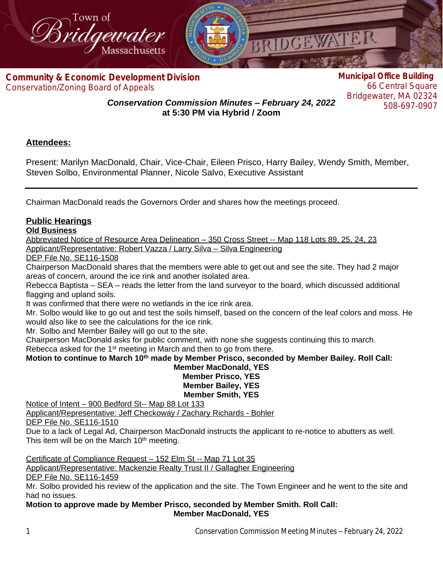

**Com[munity & Economic Development Division](http://www.bridgewaterma.org/)** Conservation/Zoning Board of Appeals

**Municipal Office Building** 66 Central Square Bridgewater, MA 02324 508-697-0907

*Conservation Commission Minutes – February 24, 2022* **at 5:30 PM via Hybrid / Zoom**

# **Attendees:**

Present: Marilyn MacDonald, Chair, Vice-Chair, Eileen Prisco, Harry Bailey, Wendy Smith, Member, Steven Solbo, Environmental Planner, Nicole Salvo, Executive Assistant

Chairman MacDonald reads the Governors Order and shares how the meetings proceed.

## **Public Hearings**

## **Old Business**

Abbreviated Notice of Resource Area Delineation – 350 Cross Street -- Map 118 Lots 89, 25, 24, 23 Applicant/Representative: Robert Vazza / Larry Silva – Silva Engineering

DEP File No. SE116-1508

Chairperson MacDonald shares that the members were able to get out and see the site. They had 2 major areas of concern, around the ice rink and another isolated area.

Rebecca Baptista – SEA – reads the letter from the land surveyor to the board, which discussed additional flagging and upland soils.

It was confirmed that there were no wetlands in the ice rink area.

Mr. Solbo would like to go out and test the soils himself, based on the concern of the leaf colors and moss. He would also like to see the calculations for the ice rink.

Mr. Solbo and Member Bailey will go out to the site.

Chairperson MacDonald asks for public comment, with none she suggests continuing this to march.

Rebecca asked for the 1<sup>st</sup> meeting in March and then to go from there.

**Motion to continue to March 10th made by Member Prisco, seconded by Member Bailey. Roll Call:**

### **Member MacDonald, YES Member Prisco, YES Member Bailey, YES Member Smith, YES**

Notice of Intent – 900 Bedford St-- Map 88 Lot 133

Applicant/Representative: Jeff Checkoway / Zachary Richards - Bohler DEP File No. SE116-1510

Due to a lack of Legal Ad, Chairperson MacDonald instructs the applicant to re-notice to abutters as well. This item will be on the March 10<sup>th</sup> meeting.

Certificate of Compliance Request – 152 Elm St -- Map 71 Lot 35 Applicant/Representative: Mackenzie Realty Trust II / Gallagher Engineering DEP File No. SE116-1459

Mr. Solbo provided his review of the application and the site. The Town Engineer and he went to the site and had no issues.

### **Motion to approve made by Member Prisco, seconded by Member Smith. Roll Call: Member MacDonald, YES**